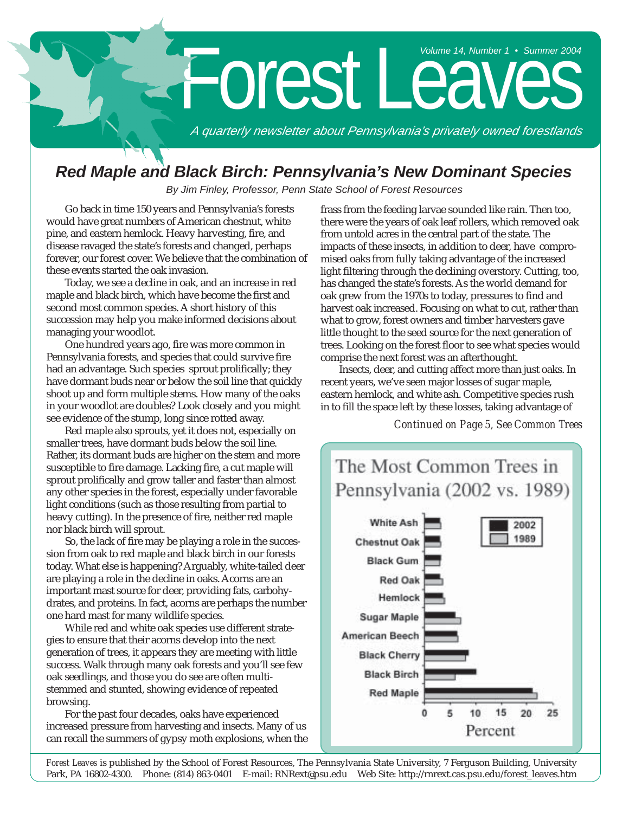# Volume 14, Number 1 • Summer 2004

A quarterly newsletter about Pennsylvania's privately owned forestlands

## **Red Maple and Black Birch: Pennsylvania's New Dominant Species**

By Jim Finley, Professor, Penn State School of Forest Resources

Go back in time 150 years and Pennsylvania's forests would have great numbers of American chestnut, white pine, and eastern hemlock. Heavy harvesting, fire, and disease ravaged the state's forests and changed, perhaps forever, our forest cover. We believe that the combination of these events started the oak invasion.

Today, we see a decline in oak, and an increase in red maple and black birch, which have become the first and second most common species. A short history of this succession may help you make informed decisions about managing your woodlot.

One hundred years ago, fire was more common in Pennsylvania forests, and species that could survive fire had an advantage. Such species sprout prolifically; they have dormant buds near or below the soil line that quickly shoot up and form multiple stems. How many of the oaks in your woodlot are doubles? Look closely and you might see evidence of the stump, long since rotted away.

Red maple also sprouts, yet it does not, especially on smaller trees, have dormant buds below the soil line. Rather, its dormant buds are higher on the stem and more susceptible to fire damage. Lacking fire, a cut maple will sprout prolifically and grow taller and faster than almost any other species in the forest, especially under favorable light conditions (such as those resulting from partial to heavy cutting). In the presence of fire, neither red maple nor black birch will sprout.

So, the lack of fire may be playing a role in the succession from oak to red maple and black birch in our forests today. What else is happening? Arguably, white-tailed deer are playing a role in the decline in oaks. Acorns are an important mast source for deer, providing fats, carbohydrates, and proteins. In fact, acorns are perhaps the number one hard mast for many wildlife species.

While red and white oak species use different strategies to ensure that their acorns develop into the next generation of trees, it appears they are meeting with little success. Walk through many oak forests and you'll see few oak seedlings, and those you do see are often multistemmed and stunted, showing evidence of repeated browsing.

For the past four decades, oaks have experienced increased pressure from harvesting and insects. Many of us can recall the summers of gypsy moth explosions, when the frass from the feeding larvae sounded like rain. Then too, there were the years of oak leaf rollers, which removed oak from untold acres in the central part of the state. The impacts of these insects, in addition to deer, have compromised oaks from fully taking advantage of the increased light filtering through the declining overstory. Cutting, too, has changed the state's forests. As the world demand for oak grew from the 1970s to today, pressures to find and harvest oak increased. Focusing on what to cut, rather than what to grow, forest owners and timber harvesters gave little thought to the seed source for the next generation of trees. Looking on the forest floor to see what species would comprise the next forest was an afterthought.

Insects, deer, and cutting affect more than just oaks. In recent years, we've seen major losses of sugar maple, eastern hemlock, and white ash. Competitive species rush in to fill the space left by these losses, taking advantage of

*Continued on Page 5, See Common Trees*



*Forest Leaves* is published by the School of Forest Resources, The Pennsylvania State University, 7 Ferguson Building, University Park, PA 16802-4300. Phone: (814) 863-0401 E-mail: RNRext@psu.edu Web Site: http://rnrext.cas.psu.edu/forest\_leaves.htm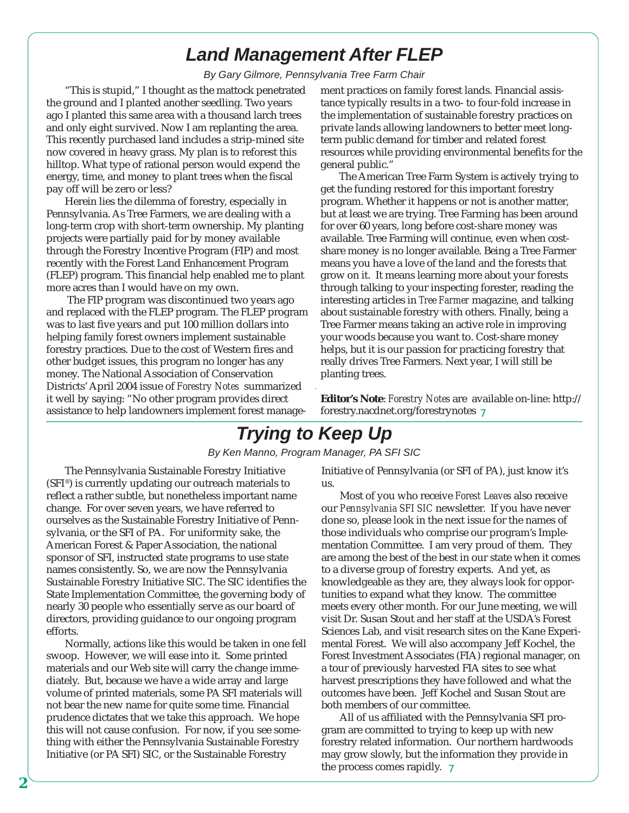## **Land Management After FLEP**

By Gary Gilmore, Pennsylvania Tree Farm Chair

"This is stupid," I thought as the mattock penetrated the ground and I planted another seedling. Two years ago I planted this same area with a thousand larch trees and only eight survived. Now I am replanting the area. This recently purchased land includes a strip-mined site now covered in heavy grass. My plan is to reforest this hilltop. What type of rational person would expend the energy, time, and money to plant trees when the fiscal pay off will be zero or less?

Herein lies the dilemma of forestry, especially in Pennsylvania. As Tree Farmers, we are dealing with a long-term crop with short-term ownership. My planting projects were partially paid for by money available through the Forestry Incentive Program (FIP) and most recently with the Forest Land Enhancement Program (FLEP) program. This financial help enabled me to plant more acres than I would have on my own.

 The FIP program was discontinued two years ago and replaced with the FLEP program. The FLEP program was to last five years and put 100 million dollars into helping family forest owners implement sustainable forestry practices. Due to the cost of Western fires and other budget issues, this program no longer has any money. The National Association of Conservation Districts' April 2004 issue of *Forestry Notes* summarized it well by saying: "No other program provides direct assistance to help landowners implement forest management practices on family forest lands. Financial assistance typically results in a two- to four-fold increase in the implementation of sustainable forestry practices on private lands allowing landowners to better meet longterm public demand for timber and related forest resources while providing environmental benefits for the general public."

The American Tree Farm System is actively trying to get the funding restored for this important forestry program. Whether it happens or not is another matter, but at least we are trying. Tree Farming has been around for over 60 years, long before cost-share money was available. Tree Farming will continue, even when costshare money is no longer available. Being a Tree Farmer means you have a love of the land and the forests that grow on it. It means learning more about your forests through talking to your inspecting forester, reading the interesting articles in *Tree Farmer* magazine, and talking about sustainable forestry with others. Finally, being a Tree Farmer means taking an active role in improving your woods because you want to. Cost-share money helps, but it is our passion for practicing forestry that really drives Tree Farmers. Next year, I will still be planting trees.

**Editor's Note**: *Forestry Notes* are available on-line: http:// forestry.nacdnet.org/forestrynotes 7

## **Trying to Keep Up**

By Ken Manno, Program Manager, PA SFI SIC

The Pennsylvania Sustainable Forestry Initiative (SFI®) is currently updating our outreach materials to reflect a rather subtle, but nonetheless important name change. For over seven years, we have referred to ourselves as the Sustainable Forestry Initiative of Pennsylvania, or the SFI of PA. For uniformity sake, the American Forest & Paper Association, the national sponsor of SFI, instructed state programs to use state names consistently. So, we are now the Pennsylvania Sustainable Forestry Initiative SIC. The SIC identifies the State Implementation Committee, the governing body of nearly 30 people who essentially serve as our board of directors, providing guidance to our ongoing program efforts.

Normally, actions like this would be taken in one fell swoop. However, we will ease into it. Some printed materials and our Web site will carry the change immediately. But, because we have a wide array and large volume of printed materials, some PA SFI materials will not bear the new name for quite some time. Financial prudence dictates that we take this approach. We hope this will not cause confusion. For now, if you see something with either the Pennsylvania Sustainable Forestry Initiative (or PA SFI) SIC, or the Sustainable Forestry

Initiative of Pennsylvania (or SFI of PA), just know it's us.

Most of you who receive *Forest Leaves* also receive our *Pennsylvania SFI SIC* newsletter. If you have never done so, please look in the next issue for the names of those individuals who comprise our program's Implementation Committee. I am very proud of them. They are among the best of the best in our state when it comes to a diverse group of forestry experts. And yet, as knowledgeable as they are, they always look for opportunities to expand what they know. The committee meets every other month. For our June meeting, we will visit Dr. Susan Stout and her staff at the USDA's Forest Sciences Lab, and visit research sites on the Kane Experimental Forest. We will also accompany Jeff Kochel, the Forest Investment Associates (FIA) regional manager, on a tour of previously harvested FIA sites to see what harvest prescriptions they have followed and what the outcomes have been. Jeff Kochel and Susan Stout are both members of our committee.

All of us affiliated with the Pennsylvania SFI program are committed to trying to keep up with new forestry related information. Our northern hardwoods may grow slowly, but the information they provide in the process comes rapidly. 7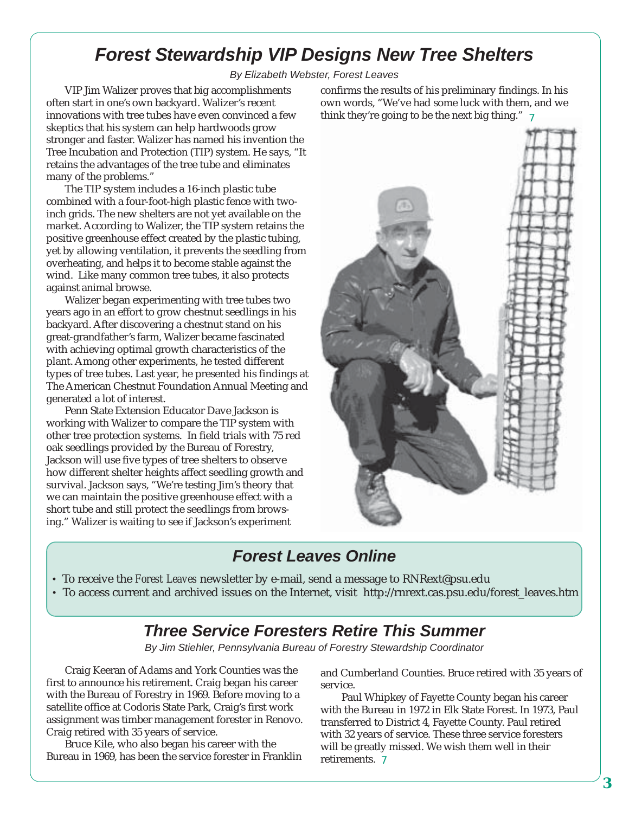# **Forest Stewardship VIP Designs New Tree Shelters**

## By Elizabeth Webster, Forest Leaves

VIP Jim Walizer proves that big accomplishments often start in one's own backyard. Walizer's recent innovations with tree tubes have even convinced a few skeptics that his system can help hardwoods grow stronger and faster. Walizer has named his invention the Tree Incubation and Protection (TIP) system. He says, "It retains the advantages of the tree tube and eliminates many of the problems."

The TIP system includes a 16-inch plastic tube combined with a four-foot-high plastic fence with twoinch grids. The new shelters are not yet available on the market. According to Walizer, the TIP system retains the positive greenhouse effect created by the plastic tubing, yet by allowing ventilation, it prevents the seedling from overheating, and helps it to become stable against the wind. Like many common tree tubes, it also protects against animal browse.

Walizer began experimenting with tree tubes two years ago in an effort to grow chestnut seedlings in his backyard. After discovering a chestnut stand on his great-grandfather's farm, Walizer became fascinated with achieving optimal growth characteristics of the plant. Among other experiments, he tested different types of tree tubes. Last year, he presented his findings at The American Chestnut Foundation Annual Meeting and generated a lot of interest.

Penn State Extension Educator Dave Jackson is working with Walizer to compare the TIP system with other tree protection systems. In field trials with 75 red oak seedlings provided by the Bureau of Forestry, Jackson will use five types of tree shelters to observe how different shelter heights affect seedling growth and survival. Jackson says, "We're testing Jim's theory that we can maintain the positive greenhouse effect with a short tube and still protect the seedlings from browsing." Walizer is waiting to see if Jackson's experiment

confirms the results of his preliminary findings. In his own words, "We've had some luck with them, and we think they're going to be the next big thing."  $\rightarrow$ 



## **Forest Leaves Online**

- To receive the *Forest Leaves* newsletter by e-mail, send a message to RNRext@psu.edu
- To access current and archived issues on the Internet, visit http://rnrext.cas.psu.edu/forest\_leaves.htm

## **Three Service Foresters Retire This Summer**

By Jim Stiehler, Pennsylvania Bureau of Forestry Stewardship Coordinator

Craig Keeran of Adams and York Counties was the first to announce his retirement. Craig began his career with the Bureau of Forestry in 1969. Before moving to a satellite office at Codoris State Park, Craig's first work assignment was timber management forester in Renovo. Craig retired with 35 years of service.

Bruce Kile, who also began his career with the Bureau in 1969, has been the service forester in Franklin and Cumberland Counties. Bruce retired with 35 years of service.

 Paul Whipkey of Fayette County began his career with the Bureau in 1972 in Elk State Forest. In 1973, Paul transferred to District 4, Fayette County. Paul retired with 32 years of service. These three service foresters will be greatly missed. We wish them well in their retirements. 7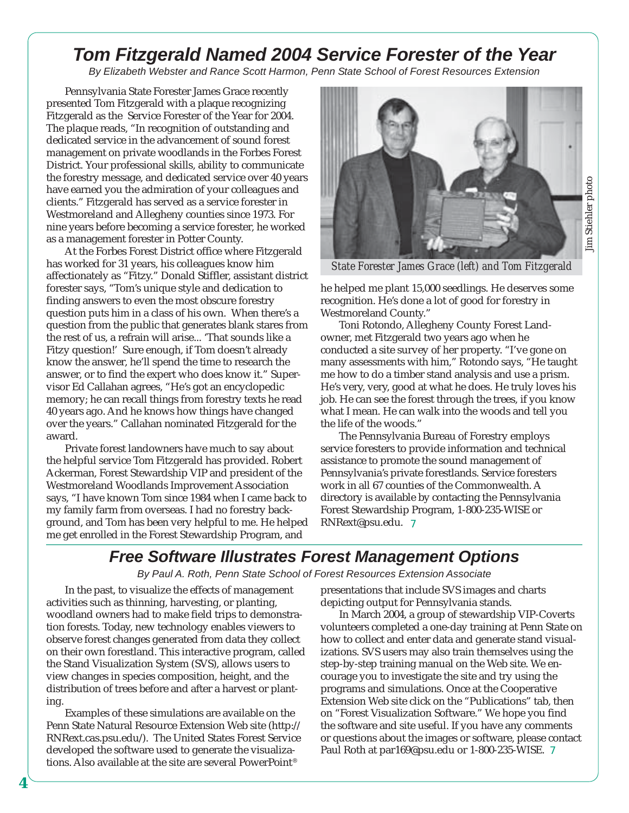# **Tom Fitzgerald Named 2004 Service Forester of the Year**

By Elizabeth Webster and Rance Scott Harmon, Penn State School of Forest Resources Extension

Pennsylvania State Forester James Grace recently presented Tom Fitzgerald with a plaque recognizing Fitzgerald as the Service Forester of the Year for 2004. The plaque reads, "In recognition of outstanding and dedicated service in the advancement of sound forest management on private woodlands in the Forbes Forest District. Your professional skills, ability to communicate the forestry message, and dedicated service over 40 years have earned you the admiration of your colleagues and clients." Fitzgerald has served as a service forester in Westmoreland and Allegheny counties since 1973. For nine years before becoming a service forester, he worked as a management forester in Potter County.

At the Forbes Forest District office where Fitzgerald has worked for 31 years, his colleagues know him affectionately as "Fitzy." Donald Stiffler, assistant district forester says, "Tom's unique style and dedication to finding answers to even the most obscure forestry question puts him in a class of his own. When there's a question from the public that generates blank stares from the rest of us, a refrain will arise... 'That sounds like a Fitzy question!' Sure enough, if Tom doesn't already know the answer, he'll spend the time to research the answer, or to find the expert who does know it." Supervisor Ed Callahan agrees, "He's got an encyclopedic memory; he can recall things from forestry texts he read 40 years ago. And he knows how things have changed over the years." Callahan nominated Fitzgerald for the award.

 Private forest landowners have much to say about the helpful service Tom Fitzgerald has provided. Robert Ackerman, Forest Stewardship VIP and president of the Westmoreland Woodlands Improvement Association says, "I have known Tom since 1984 when I came back to my family farm from overseas. I had no forestry background, and Tom has been very helpful to me. He helped me get enrolled in the Forest Stewardship Program, and



*State Forester James Grace (left) and Tom Fitzgerald*

he helped me plant 15,000 seedlings. He deserves some recognition. He's done a lot of good for forestry in Westmoreland County."

Toni Rotondo, Allegheny County Forest Landowner, met Fitzgerald two years ago when he conducted a site survey of her property. "I've gone on many assessments with him," Rotondo says, "He taught me how to do a timber stand analysis and use a prism. He's very, very, good at what he does. He truly loves his job. He can see the forest through the trees, if you know what I mean. He can walk into the woods and tell you the life of the woods."

The Pennsylvania Bureau of Forestry employs service foresters to provide information and technical assistance to promote the sound management of Pennsylvania's private forestlands. Service foresters work in all 67 counties of the Commonwealth. A directory is available by contacting the Pennsylvania Forest Stewardship Program, 1-800-235-WISE or RNRext@psu.edu. 7

## **Free Software Illustrates Forest Management Options**

By Paul A. Roth, Penn State School of Forest Resources Extension Associate

In the past, to visualize the effects of management activities such as thinning, harvesting, or planting, woodland owners had to make field trips to demonstration forests. Today, new technology enables viewers to observe forest changes generated from data they collect on their own forestland. This interactive program, called the Stand Visualization System (SVS), allows users to view changes in species composition, height, and the distribution of trees before and after a harvest or planting.

Examples of these simulations are available on the Penn State Natural Resource Extension Web site (http:// RNRext.cas.psu.edu/). The United States Forest Service developed the software used to generate the visualizations. Also available at the site are several PowerPoint®

presentations that include SVS images and charts depicting output for Pennsylvania stands.

In March 2004, a group of stewardship VIP-Coverts volunteers completed a one-day training at Penn State on how to collect and enter data and generate stand visualizations. SVS users may also train themselves using the step-by-step training manual on the Web site. We encourage you to investigate the site and try using the programs and simulations. Once at the Cooperative Extension Web site click on the "Publications" tab, then on "Forest Visualization Software." We hope you find the software and site useful. If you have any comments or questions about the images or software, please contact Paul Roth at par169@psu.edu or 1-800-235-WISE. 7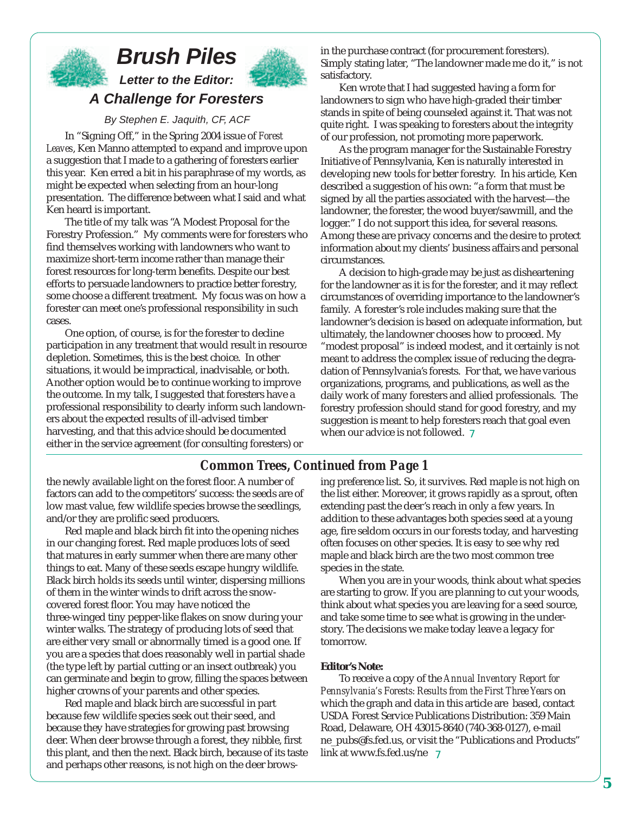

# **Brush Piles**



## **A Challenge for Foresters**

By Stephen E. Jaquith, CF, ACF

In "Signing Off," in the Spring 2004 issue of *Forest Leaves*, Ken Manno attempted to expand and improve upon a suggestion that I made to a gathering of foresters earlier this year. Ken erred a bit in his paraphrase of my words, as might be expected when selecting from an hour-long presentation. The difference between what I said and what Ken heard is important.

The title of my talk was "A Modest Proposal for the Forestry Profession." My comments were for foresters who find themselves working with landowners who want to maximize short-term income rather than manage their forest resources for long-term benefits. Despite our best efforts to persuade landowners to practice better forestry, some choose a different treatment. My focus was on how a forester can meet one's professional responsibility in such cases.

One option, of course, is for the forester to decline participation in any treatment that would result in resource depletion. Sometimes, this is the best choice. In other situations, it would be impractical, inadvisable, or both. Another option would be to continue working to improve the outcome. In my talk, I suggested that foresters have a professional responsibility to clearly inform such landowners about the expected results of ill-advised timber harvesting, and that this advice should be documented either in the service agreement (for consulting foresters) or

the newly available light on the forest floor. A number of factors can add to the competitors' success: the seeds are of low mast value, few wildlife species browse the seedlings, and/or they are prolific seed producers.

Red maple and black birch fit into the opening niches in our changing forest. Red maple produces lots of seed that matures in early summer when there are many other things to eat. Many of these seeds escape hungry wildlife. Black birch holds its seeds until winter, dispersing millions of them in the winter winds to drift across the snowcovered forest floor. You may have noticed the three-winged tiny pepper-like flakes on snow during your winter walks. The strategy of producing lots of seed that are either very small or abnormally timed is a good one. If you are a species that does reasonably well in partial shade (the type left by partial cutting or an insect outbreak) you can germinate and begin to grow, filling the spaces between higher crowns of your parents and other species.

Red maple and black birch are successful in part because few wildlife species seek out their seed, and because they have strategies for growing past browsing deer. When deer browse through a forest, they nibble, first this plant, and then the next. Black birch, because of its taste and perhaps other reasons, is not high on the deer browsin the purchase contract (for procurement foresters). Simply stating later, "The landowner made me do it," is not satisfactory.

Ken wrote that I had suggested having a form for landowners to sign who have high-graded their timber stands in spite of being counseled against it. That was not quite right. I was speaking to foresters about the integrity of our profession, not promoting more paperwork.

As the program manager for the Sustainable Forestry Initiative of Pennsylvania, Ken is naturally interested in developing new tools for better forestry. In his article, Ken described a suggestion of his own: "a form that must be signed by all the parties associated with the harvest—the landowner, the forester, the wood buyer/sawmill, and the logger." I do not support this idea, for several reasons. Among these are privacy concerns and the desire to protect information about my clients' business affairs and personal circumstances.

A decision to high-grade may be just as disheartening for the landowner as it is for the forester, and it may reflect circumstances of overriding importance to the landowner's family. A forester's role includes making sure that the landowner's decision is based on adequate information, but ultimately, the landowner chooses how to proceed. My "modest proposal" is indeed modest, and it certainly is not meant to address the complex issue of reducing the degradation of Pennsylvania's forests. For that, we have various organizations, programs, and publications, as well as the daily work of many foresters and allied professionals. The forestry profession should stand for good forestry, and my suggestion is meant to help foresters reach that goal even when our advice is not followed. 7

## *Common Trees, Continued from Page 1*

ing preference list. So, it survives. Red maple is not high on the list either. Moreover, it grows rapidly as a sprout, often extending past the deer's reach in only a few years. In addition to these advantages both species seed at a young age, fire seldom occurs in our forests today, and harvesting often focuses on other species. It is easy to see why red maple and black birch are the two most common tree species in the state.

When you are in your woods, think about what species are starting to grow. If you are planning to cut your woods, think about what species you are leaving for a seed source, and take some time to see what is growing in the understory. The decisions we make today leave a legacy for tomorrow.

## **Editor's Note:**

To receive a copy of the *Annual Inventory Report for Pennsylvania's Forests: Results from the First Three Years* on which the graph and data in this article are based, contact USDA Forest Service Publications Distribution: 359 Main Road, Delaware, OH 43015-8640 (740-368-0127), e-mail ne\_pubs@fs.fed.us, or visit the "Publications and Products" link at www.fs.fed.us/ne 7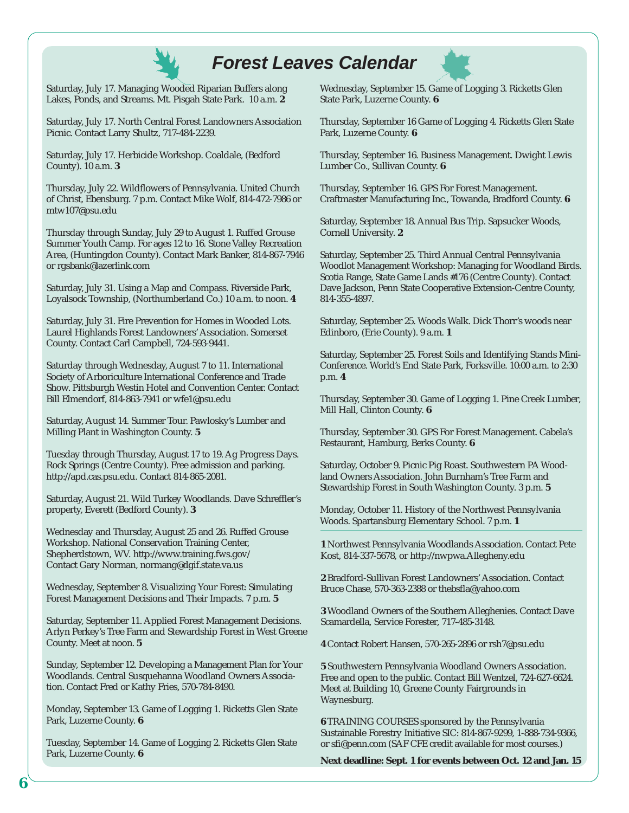

# **Forest Leaves Calendar**

Saturday, July 17. Managing Wooded Riparian Buffers along Lakes, Ponds, and Streams. Mt. Pisgah State Park. 10 a.m. **2**

Saturday, July 17. North Central Forest Landowners Association Picnic. Contact Larry Shultz, 717-484-2239.

Saturday, July 17. Herbicide Workshop. Coaldale, (Bedford County). 10 a.m. **3**

Thursday, July 22. Wildflowers of Pennsylvania. United Church of Christ, Ebensburg. 7 p.m. Contact Mike Wolf, 814-472-7986 or mtw107@psu.edu

Thursday through Sunday, July 29 to August 1. Ruffed Grouse Summer Youth Camp. For ages 12 to 16. Stone Valley Recreation Area, (Huntingdon County). Contact Mark Banker, 814-867-7946 or rgsbank@lazerlink.com

Saturday, July 31. Using a Map and Compass. Riverside Park, Loyalsock Township, (Northumberland Co.) 10 a.m. to noon. **4**

Saturday, July 31. Fire Prevention for Homes in Wooded Lots. Laurel Highlands Forest Landowners' Association. Somerset County. Contact Carl Campbell, 724-593-9441.

Saturday through Wednesday, August 7 to 11. International Society of Arboriculture International Conference and Trade Show. Pittsburgh Westin Hotel and Convention Center. Contact Bill Elmendorf, 814-863-7941 or wfe1@psu.edu

Saturday, August 14. Summer Tour. Pawlosky's Lumber and Milling Plant in Washington County. **5**

Tuesday through Thursday, August 17 to 19. Ag Progress Days. Rock Springs (Centre County). Free admission and parking. http://apd.cas.psu.edu. Contact 814-865-2081.

Saturday, August 21. Wild Turkey Woodlands. Dave Schreffler's property, Everett (Bedford County). **3**

Wednesday and Thursday, August 25 and 26. Ruffed Grouse Workshop. National Conservation Training Center, Shepherdstown, WV. http://www.training.fws.gov/ Contact Gary Norman, normang@dgif.state.va.us

Wednesday, September 8. Visualizing Your Forest: Simulating Forest Management Decisions and Their Impacts. 7 p.m. **5**

Saturday, September 11. Applied Forest Management Decisions. Arlyn Perkey's Tree Farm and Stewardship Forest in West Greene County. Meet at noon. **5**

Sunday, September 12. Developing a Management Plan for Your Woodlands. Central Susquehanna Woodland Owners Association. Contact Fred or Kathy Fries, 570-784-8490.

Monday, September 13. Game of Logging 1. Ricketts Glen State Park, Luzerne County. **6**

Tuesday, September 14. Game of Logging 2. Ricketts Glen State Park, Luzerne County. **6**

Wednesday, September 15. Game of Logging 3. Ricketts Glen State Park, Luzerne County. **6**

Thursday, September 16 Game of Logging 4. Ricketts Glen State Park, Luzerne County. **6**

Thursday, September 16. Business Management. Dwight Lewis Lumber Co., Sullivan County. **6**

Thursday, September 16. GPS For Forest Management. Craftmaster Manufacturing Inc., Towanda, Bradford County. **6**

Saturday, September 18. Annual Bus Trip. Sapsucker Woods, Cornell University. **2**

Saturday, September 25. Third Annual Central Pennsylvania Woodlot Management Workshop: Managing for Woodland Birds. Scotia Range, State Game Lands #176 (Centre County). Contact Dave Jackson, Penn State Cooperative Extension-Centre County, 814-355-4897.

Saturday, September 25. Woods Walk. Dick Thorr's woods near Edinboro, (Erie County). 9 a.m. **1**

Saturday, September 25. Forest Soils and Identifying Stands Mini-Conference. World's End State Park, Forksville. 10:00 a.m. to 2:30 p.m. **4**

Thursday, September 30. Game of Logging 1. Pine Creek Lumber, Mill Hall, Clinton County. **6**

Thursday, September 30. GPS For Forest Management. Cabela's Restaurant, Hamburg, Berks County. **6**

Saturday, October 9. Picnic Pig Roast. Southwestern PA Woodland Owners Association. John Burnham's Tree Farm and Stewardship Forest in South Washington County. 3 p.m. **5**

Monday, October 11. History of the Northwest Pennsylvania Woods. Spartansburg Elementary School. 7 p.m. **1**

**1** Northwest Pennsylvania Woodlands Association. Contact Pete Kost, 814-337-5678, or http://nwpwa.Allegheny.edu

**2** Bradford-Sullivan Forest Landowners' Association. Contact Bruce Chase, 570-363-2388 or thebsfla@yahoo.com

**3** Woodland Owners of the Southern Alleghenies. Contact Dave Scamardella, Service Forester, 717-485-3148.

**4** Contact Robert Hansen, 570-265-2896 or rsh7@psu.edu

**5** Southwestern Pennsylvania Woodland Owners Association. Free and open to the public. Contact Bill Wentzel, 724-627-6624. Meet at Building 10, Greene County Fairgrounds in Waynesburg.

**6** TRAINING COURSES sponsored by the Pennsylvania Sustainable Forestry Initiative SIC: 814-867-9299, 1-888-734-9366, or sfi@penn.com (SAF CFE credit available for most courses.)

**Next deadline: Sept. 1 for events between Oct. 12 and Jan. 15**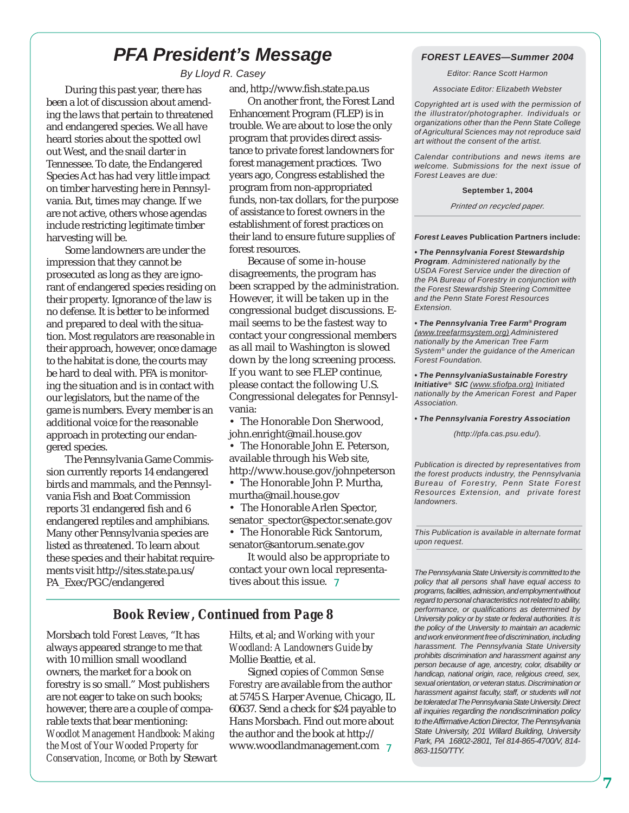## **PFA President's Message**

By Lloyd R. Casey

During this past year, there has been a lot of discussion about amending the laws that pertain to threatened and endangered species. We all have heard stories about the spotted owl out West, and the snail darter in Tennessee. To date, the Endangered Species Act has had very little impact on timber harvesting here in Pennsylvania. But, times may change. If we are not active, others whose agendas include restricting legitimate timber harvesting will be.

Some landowners are under the impression that they cannot be prosecuted as long as they are ignorant of endangered species residing on their property. Ignorance of the law is no defense. It is better to be informed and prepared to deal with the situation. Most regulators are reasonable in their approach, however, once damage to the habitat is done, the courts may be hard to deal with. PFA is monitoring the situation and is in contact with our legislators, but the name of the game is numbers. Every member is an additional voice for the reasonable approach in protecting our endangered species.

The Pennsylvania Game Commission currently reports 14 endangered birds and mammals, and the Pennsylvania Fish and Boat Commission reports 31 endangered fish and 6 endangered reptiles and amphibians. Many other Pennsylvania species are listed as threatened. To learn about these species and their habitat requirements visit http://sites.state.pa.us/ PA\_Exec/PGC/endangered

and, http://www.fish.state.pa.us

On another front, the Forest Land Enhancement Program (FLEP) is in trouble. We are about to lose the only program that provides direct assistance to private forest landowners for forest management practices. Two years ago, Congress established the program from non-appropriated funds, non-tax dollars, for the purpose of assistance to forest owners in the establishment of forest practices on their land to ensure future supplies of forest resources.

Because of some in-house disagreements, the program has been scrapped by the administration. However, it will be taken up in the congressional budget discussions. Email seems to be the fastest way to contact your congressional members as all mail to Washington is slowed down by the long screening process. If you want to see FLEP continue, please contact the following U.S. Congressional delegates for Pennsylvania:

• The Honorable Don Sherwood, john.enright@mail.house.gov

• The Honorable John E. Peterson, available through his Web site, http://www.house.gov/johnpeterson

• The Honorable John P. Murtha, murtha@mail.house.gov

• The Honorable Arlen Spector, senator\_spector@spector.senate.gov

• The Honorable Rick Santorum, senator@santorum.senate.gov

It would also be appropriate to contact your own local representatives about this issue. 7

## *Book Review, Continued from Page 8*

Morsbach told *Forest Leaves*, "It has always appeared strange to me that with 10 million small woodland owners, the market for a book on forestry is so small." Most publishers are not eager to take on such books; however, there are a couple of comparable texts that bear mentioning: *Woodlot Management Handbook: Making the Most of Your Wooded Property for Conservation, Income, or Both* by Stewart Hilts, et al; and *Working with your Woodland: A Landowners Guide* by Mollie Beattie, et al.

Signed copies of *Common Sense Forestry* are available from the author at 5745 S. Harper Avenue, Chicago, IL 60637. Send a check for \$24 payable to Hans Morsbach. Find out more about the author and the book at http:// www.woodlandmanagement.com 7

#### **FOREST LEAVES—Summer 2004**

Editor: Rance Scott Harmon

Associate Editor: Elizabeth Webster

Copyrighted art is used with the permission of the illustrator/photographer. Individuals or organizations other than the Penn State College of Agricultural Sciences may not reproduce said art without the consent of the artist.

Calendar contributions and news items are welcome. Submissions for the next issue of Forest Leaves are due:

**September 1, 2004**

Printed on recycled paper.

#### **Forest Leaves Publication Partners include:**

### **• The Pennsylvania Forest Stewardship**

**Program**. Administered nationally by the USDA Forest Service under the direction of the PA Bureau of Forestry in conjunction with the Forest Stewardship Steering Committee and the Penn State Forest Resources Extension.

**• The Pennsylvania Tree Farm® Program** (www.treefarmsystem.org) Administered nationally by the American Tree Farm System® under the guidance of the American Forest Foundation.

**• The PennsylvaniaSustainable Forestry Initiative® SIC** (www.sfiofpa.org) Initiated nationally by the American Forest and Paper Association.

#### **• The Pennsylvania Forestry Association**

(http://pfa.cas.psu.edu/).

Publication is directed by representatives from the forest products industry, the Pennsylvania Bureau of Forestry, Penn State Forest Resources Extension, and private forest landowners.

This Publication is available in alternate format upon request.

The Pennsylvania State University is committed to the policy that all persons shall have equal access to programs, facilities, admission, and employment without regard to personal characteristics not related to ability, performance, or qualifications as determined by University policy or by state or federal authorities. It is the policy of the University to maintain an academic and work environment free of discrimination, including harassment. The Pennsylvania State University prohibits discrimination and harassment against any person because of age, ancestry, color, disability or handicap, national origin, race, religious creed, sex, sexual orientation, or veteran status. Discrimination or harassment against faculty, staff, or students will not be tolerated at The Pennsylvania State University. Direct all inquiries regarding the nondiscrimination policy to the Affirmative Action Director, The Pennsylvania State University, 201 Willard Building, University Park, PA 16802-2801, Tel 814-865-4700/V, 814- 863-1150/TTY.